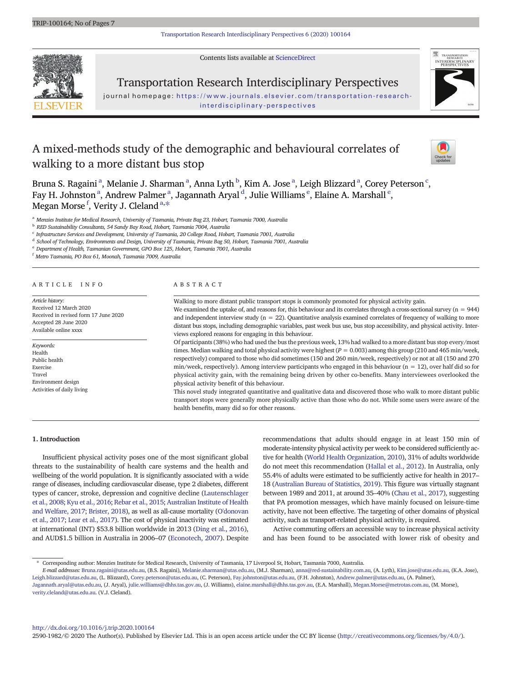[Transportation Research Interdisciplinary Perspectives 6 \(2020\) 100164](http://dx.doi.org/10.1016/j.trip.2020.100164)

Contents lists available at [ScienceDirect](http://www.sciencedirect.com/science/journal/)



Transportation Research Interdisciplinary Perspectives

journal homepage: [https://www.journals.elsevier.com/transportation-research](https://www.journals.elsevier.com/transportation-research-interdisciplinary-perspectives)[interdisciplinary-perspectives](https://www.journals.elsevier.com/transportation-research-interdisciplinary-perspectives)

# A mixed-methods study of the demographic and behavioural correlates of walking to a more distant bus stop





Bruna S. Ragainiª, Melanie J. Sharmanª, Anna Lyth  $^{\rm b}$ , Kim A. Joseª, Leigh Blizzardª, Corey Peterson $^{\rm c}$ , Fay H. Johnston <sup>a</sup>, Andrew Palmer <sup>a</sup>, Jagannath Aryal <sup>d</sup>, Julie Williams <sup>e</sup>, Elaine A. Marshall <sup>e</sup>, ray 11. Johnston , Andrew I anner<br>Megan Morse <sup>f</sup>, Verity J. Cleland <sup>a,\*</sup>

<sup>a</sup> Menzies Institute for Medical Research, University of Tasmania, Private Bag 23, Hobart, Tasmania 7000, Australia

<sup>b</sup> RED Sustainability Consultants, 54 Sandy Bay Road, Hobart, Tasmania 7004, Australia

 $^c$  Infrastructure Services and Development, University of Tasmania, 20 College Road, Hobart, Tasmania 7001, Australia

<sup>d</sup> School of Technology, Environments and Design, University of Tasmania, Private Bag 50, Hobart, Tasmania 7001, Australia

<sup>e</sup> Department of Health, Tasmanian Government, GPO Box 125, Hobart, Tasmania 7001, Australia

<sup>f</sup> Metro Tasmania, PO Box 61, Moonah, Tasmania 7009, Australia

#### ARTICLE INFO ABSTRACT

Article history: Received 12 March 2020 Received in revised form 17 June 2020 Accepted 28 June 2020 Available online xxxx

Keywords: Health Public health Exercise Travel Environment design Activities of daily living

Walking to more distant public transport stops is commonly promoted for physical activity gain. We examined the uptake of, and reasons for, this behaviour and its correlates through a cross-sectional survey  $(n = 944)$ and independent interview study  $(n = 22)$ . Quantitative analysis examined correlates of frequency of walking to more distant bus stops, including demographic variables, past week bus use, bus stop accessibility, and physical activity. Interviews explored reasons for engaging in this behaviour. Of participants (38%) who had used the bus the previous week, 13% had walked to a more distant bus stop every/most times. Median walking and total physical activity were highest ( $P = 0.003$ ) among this group (210 and 465 min/week,

respectively) compared to those who did sometimes (150 and 260 min/week, respectively) or not at all (150 and 270  $min/week$ , respectively). Among interview participants who engaged in this behaviour ( $n = 12$ ), over half did so for physical activity gain, with the remaining being driven by other co-benefits. Many interviewees overlooked the physical activity benefit of this behaviour.

This novel study integrated quantitative and qualitative data and discovered those who walk to more distant public transport stops were generally more physically active than those who do not. While some users were aware of the health benefits, many did so for other reasons.

#### 1. Introduction

Insufficient physical activity poses one of the most significant global threats to the sustainability of health care systems and the health and wellbeing of the world population. It is significantly associated with a wide range of diseases, including cardiovascular disease, type 2 diabetes, different types of cancer, stroke, depression and cognitive decline [\(Lautenschlager](#page-5-0) [et al., 2008](#page-5-0); [Kyu et al., 2016](#page-5-0); [Rebar et al., 2015;](#page-5-0) [Australian Institute of Health](#page-5-0) [and Welfare, 2017](#page-5-0); [Brister, 2018](#page-5-0)), as well as all-cause mortality [\(O'donovan](#page-5-0) [et al., 2017](#page-5-0); [Lear et al., 2017\)](#page-5-0). The cost of physical inactivity was estimated at international (INT) \$53.8 billion worldwide in 2013 ([Ding et al., 2016](#page-5-0)), and AUD\$1.5 billion in Australia in 2006–07 [\(Econotech, 2007](#page-5-0)). Despite recommendations that adults should engage in at least 150 min of moderate-intensity physical activity per week to be considered sufficiently active for health [\(World Health Organization, 2010\)](#page-6-0), 31% of adults worldwide do not meet this recommendation ([Hallal et al., 2012\)](#page-5-0). In Australia, only 55.4% of adults were estimated to be sufficiently active for health in 2017– 18 ([Australian Bureau of Statistics, 2019\)](#page-5-0). This figure was virtually stagnant between 1989 and 2011, at around 35–40% ([Chau et al., 2017\)](#page-5-0), suggesting that PA promotion messages, which have mainly focused on leisure-time activity, have not been effective. The targeting of other domains of physical activity, such as transport-related physical activity, is required.

Active commuting offers an accessible way to increase physical activity and has been found to be associated with lower risk of obesity and

<http://dx.doi.org/10.1016/j.trip.2020.100164> 2590-1982/© 2020 The Author(s). Published by Elsevier Ltd. This is an open access article under the CC BY license [\(http://creativecommons.org/licenses/by/4.0/](http://creativecommons.org/licenses/by/4.0/)).

<sup>⁎</sup> Corresponding author: Menzies Institute for Medical Research, University of Tasmania, 17 Liverpool St, Hobart, Tasmania 7000, Australia.

E-mail addresses: Bruna.ragaini@utas.edu.au, (B.S. Ragaini), Melanie.sharman@utas.edu.au, (M.J. Sharman), anna@red-sustainability.com.au, (A. Lyth), Kim.jose@utas.edu.au, (K.A. Jose), Leigh.blizzard@utas.edu.au, (L. Blizzard), Corey.peterson@utas.edu.au, (C. Peterson), Fay.johnston@utas.edu.au, (F.H. Johnston), Andrew.palmer@utas.edu.au, (A. Palmer), Jagannath.aryal@utas.edu.au, (J. Aryal), julie.williams@dhhs.tas.gov.au, (J. Williams), elaine.marshall@dhhs.tas.gov.au, (E.A. Marshall), Megan.Morse@metrotas.com.au, (M. Morse),

<verity.cleland@utas.edu.au>. (V.J. Cleland).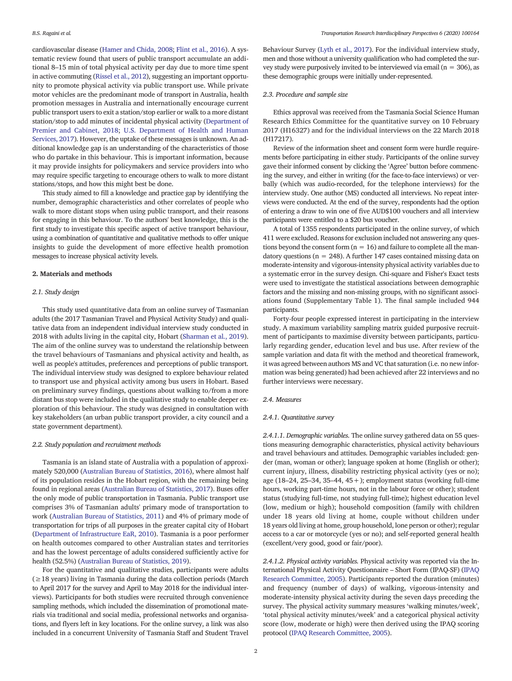cardiovascular disease ([Hamer and Chida, 2008](#page-5-0); [Flint et al., 2016\)](#page-5-0). A systematic review found that users of public transport accumulate an additional 8–15 min of total physical activity per day due to more time spent in active commuting [\(Rissel et al., 2012](#page-5-0)), suggesting an important opportunity to promote physical activity via public transport use. While private motor vehicles are the predominant mode of transport in Australia, health promotion messages in Australia and internationally encourage current public transport users to exit a station/stop earlier or walk to a more distant station/stop to add minutes of incidental physical activity ([Department of](#page-5-0) [Premier and Cabinet, 2018;](#page-5-0) [U.S. Department of Health and Human](#page-6-0) [Services, 2017](#page-6-0)). However, the uptake of these messages is unknown. An additional knowledge gap is an understanding of the characteristics of those who do partake in this behaviour. This is important information, because it may provide insights for policymakers and service providers into who may require specific targeting to encourage others to walk to more distant stations/stops, and how this might best be done.

This study aimed to fill a knowledge and practice gap by identifying the number, demographic characteristics and other correlates of people who walk to more distant stops when using public transport, and their reasons for engaging in this behaviour. To the authors' best knowledge, this is the first study to investigate this specific aspect of active transport behaviour, using a combination of quantitative and qualitative methods to offer unique insights to guide the development of more effective health promotion messages to increase physical activity levels.

# 2. Materials and methods

#### 2.1. Study design

This study used quantitative data from an online survey of Tasmanian adults (the 2017 Tasmanian Travel and Physical Activity Study) and qualitative data from an independent individual interview study conducted in 2018 with adults living in the capital city, Hobart ([Sharman et al., 2019](#page-6-0)). The aim of the online survey was to understand the relationship between the travel behaviours of Tasmanians and physical activity and health, as well as people's attitudes, preferences and perceptions of public transport. The individual interview study was designed to explore behaviour related to transport use and physical activity among bus users in Hobart. Based on preliminary survey findings, questions about walking to/from a more distant bus stop were included in the qualitative study to enable deeper exploration of this behaviour. The study was designed in consultation with key stakeholders (an urban public transport provider, a city council and a state government department).

### 2.2. Study population and recruitment methods

Tasmania is an island state of Australia with a population of approximately 520,000 [\(Australian Bureau of Statistics, 2016\)](#page-5-0), where almost half of its population resides in the Hobart region, with the remaining being found in regional areas [\(Australian Bureau of Statistics, 2017\)](#page-5-0). Buses offer the only mode of public transportation in Tasmania. Public transport use comprises 3% of Tasmanian adults' primary mode of transportation to work ([Australian Bureau of Statistics, 2011\)](#page-5-0) and 4% of primary mode of transportation for trips of all purposes in the greater capital city of Hobart ([Department of Infrastructure EaR, 2010\)](#page-5-0). Tasmania is a poor performer on health outcomes compared to other Australian states and territories and has the lowest percentage of adults considered sufficiently active for health (52.5%) ([Australian Bureau of Statistics, 2019](#page-5-0)).

For the quantitative and qualitative studies, participants were adults  $(≥18$  years) living in Tasmania during the data collection periods (March to April 2017 for the survey and April to May 2018 for the individual interviews). Participants for both studies were recruited through convenience sampling methods, which included the dissemination of promotional materials via traditional and social media, professional networks and organisations, and flyers left in key locations. For the online survey, a link was also included in a concurrent University of Tasmania Staff and Student Travel

Behaviour Survey ([Lyth et al., 2017\)](#page-5-0). For the individual interview study, men and those without a university qualification who had completed the survey study were purposively invited to be interviewed via email ( $n = 306$ ), as these demographic groups were initially under-represented.

#### 2.3. Procedure and sample size

Ethics approval was received from the Tasmania Social Science Human Research Ethics Committee for the quantitative survey on 10 February 2017 (H16327) and for the individual interviews on the 22 March 2018 (H17217).

Review of the information sheet and consent form were hurdle requirements before participating in either study. Participants of the online survey gave their informed consent by clicking the 'Agree' button before commencing the survey, and either in writing (for the face-to-face interviews) or verbally (which was audio-recorded, for the telephone interviews) for the interview study. One author (MS) conducted all interviews. No repeat interviews were conducted. At the end of the survey, respondents had the option of entering a draw to win one of five AUD\$100 vouchers and all interview participants were entitled to a \$20 bus voucher.

A total of 1355 respondents participated in the online survey, of which 411 were excluded. Reasons for exclusion included not answering any questions beyond the consent form  $(n = 16)$  and failure to complete all the mandatory questions ( $n = 248$ ). A further 147 cases contained missing data on moderate-intensity and vigorous-intensity physical activity variables due to a systematic error in the survey design. Chi-square and Fisher's Exact tests were used to investigate the statistical associations between demographic factors and the missing and non-missing groups, with no significant associations found (Supplementary Table 1). The final sample included 944 participants.

Forty-four people expressed interest in participating in the interview study. A maximum variability sampling matrix guided purposive recruitment of participants to maximise diversity between participants, particularly regarding gender, education level and bus use. After review of the sample variation and data fit with the method and theoretical framework, it was agreed between authors MS and VC that saturation (i.e. no new information was being generated) had been achieved after 22 interviews and no further interviews were necessary.

#### 2.4. Measures

#### 2.4.1. Quantitative survey

2.4.1.1. Demographic variables. The online survey gathered data on 55 questions measuring demographic characteristics, physical activity behaviours and travel behaviours and attitudes. Demographic variables included: gender (man, woman or other); language spoken at home (English or other); current injury, illness, disability restricting physical activity (yes or no); age (18–24, 25–34, 35–44, 45+); employment status (working full-time hours, working part-time hours, not in the labour force or other); student status (studying full-time, not studying full-time); highest education level (low, medium or high); household composition (family with children under 18 years old living at home, couple without children under 18 years old living at home, group household, lone person or other); regular access to a car or motorcycle (yes or no); and self-reported general health (excellent/very good, good or fair/poor).

2.4.1.2. Physical activity variables. Physical activity was reported via the International Physical Activity Questionnaire – Short Form (IPAQ-SF) ([IPAQ](#page-5-0) [Research Committee, 2005\)](#page-5-0). Participants reported the duration (minutes) and frequency (number of days) of walking, vigorous-intensity and moderate-intensity physical activity during the seven days preceding the survey. The physical activity summary measures 'walking minutes/week', 'total physical activity minutes/week' and a categorical physical activity score (low, moderate or high) were then derived using the IPAQ scoring protocol [\(IPAQ Research Committee, 2005\)](#page-5-0).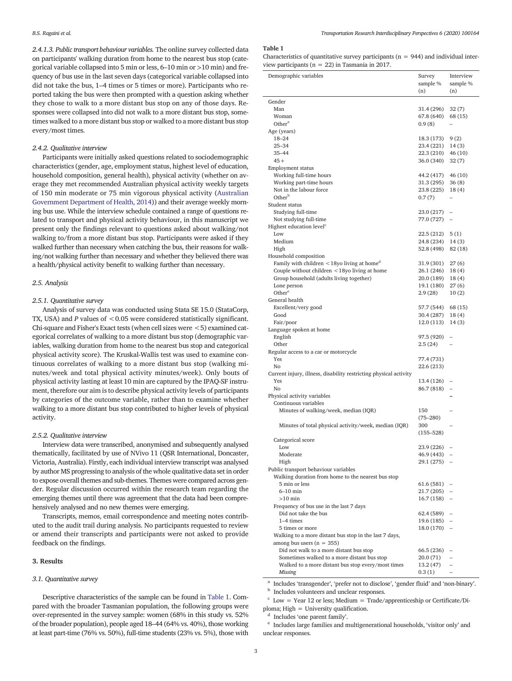<span id="page-2-0"></span>2.4.1.3. Public transport behaviour variables. The online survey collected data on participants' walking duration from home to the nearest bus stop (categorical variable collapsed into 5 min or less, 6–10 min or >10 min) and frequency of bus use in the last seven days (categorical variable collapsed into did not take the bus, 1–4 times or 5 times or more). Participants who reported taking the bus were then prompted with a question asking whether they chose to walk to a more distant bus stop on any of those days. Responses were collapsed into did not walk to a more distant bus stop, sometimes walked to a more distant bus stop or walked to a more distant bus stop every/most times.

# 2.4.2. Qualitative interview

Participants were initially asked questions related to sociodemographic characteristics (gender, age, employment status, highest level of education, household composition, general health), physical activity (whether on average they met recommended Australian physical activity weekly targets of 150 min moderate or 75 min vigorous physical activity ([Australian](#page-5-0) [Government Department of Health, 2014](#page-5-0))) and their average weekly morning bus use. While the interview schedule contained a range of questions related to transport and physical activity behaviour, in this manuscript we present only the findings relevant to questions asked about walking/not walking to/from a more distant bus stop. Participants were asked if they walked further than necessary when catching the bus, their reasons for walking/not walking further than necessary and whether they believed there was a health/physical activity benefit to walking further than necessary.

# 2.5. Analysis

#### 2.5.1. Quantitative survey

Analysis of survey data was conducted using Stata SE 15.0 (StataCorp, TX, USA) and  $P$  values of  $< 0.05$  were considered statistically significant. Chi-square and Fisher's Exact tests (when cell sizes were  $<$  5) examined categorical correlates of walking to a more distant bus stop (demographic variables, walking duration from home to the nearest bus stop and categorical physical activity score). The Kruskal-Wallis test was used to examine continuous correlates of walking to a more distant bus stop (walking minutes/week and total physical activity minutes/week). Only bouts of physical activity lasting at least 10 min are captured by the IPAQ-SF instrument, therefore our aim is to describe physical activity levels of participants by categories of the outcome variable, rather than to examine whether walking to a more distant bus stop contributed to higher levels of physical activity.

#### 2.5.2. Qualitative interview

Interview data were transcribed, anonymised and subsequently analysed thematically, facilitated by use of NVivo 11 (QSR International, Doncaster, Victoria, Australia). Firstly, each individual interview transcript was analysed by author MS progressing to analysis of the whole qualitative data set in order to expose overall themes and sub-themes. Themes were compared across gender. Regular discussion occurred within the research team regarding the emerging themes until there was agreement that the data had been comprehensively analysed and no new themes were emerging.

Transcripts, memos, email correspondence and meeting notes contributed to the audit trail during analysis. No participants requested to review or amend their transcripts and participants were not asked to provide feedback on the findings.

# 3. Results

# 3.1. Quantitative survey

Descriptive characteristics of the sample can be found in Table 1. Compared with the broader Tasmanian population, the following groups were over-represented in the survey sample: women (68% in this study vs. 52% of the broader population), people aged 18–44 (64% vs. 40%), those working at least part-time (76% vs. 50%), full-time students (23% vs. 5%), those with

# Table 1

Characteristics of quantitative survey participants ( $n = 944$ ) and individual interview participants ( $n = 22$ ) in Tasmania in 2017.

| Demographic variables                                             | Survey                   | Interview                |
|-------------------------------------------------------------------|--------------------------|--------------------------|
|                                                                   | sample %                 | sample %                 |
|                                                                   | (n)                      | (n)                      |
| Gender                                                            |                          |                          |
| Man                                                               | 31.4 (296)               | 32(7)                    |
| Woman                                                             | 67.8 (640)               | 68 (15)                  |
| Other <sup>a</sup>                                                | 0.9(8)                   |                          |
| Age (years)                                                       |                          |                          |
| 18-24                                                             | 18.3 (173)               | 9(2)                     |
| $25 - 34$                                                         | 23.4 (221)               | 14(3)                    |
| $35 - 44$                                                         | 22.3 (210)               | 46 (10)                  |
| $45+$                                                             | 36.0 (340)               | 32 (7)                   |
| <b>Employment status</b><br>Working full-time hours               |                          | 46 (10)                  |
| Working part-time hours                                           | 44.2 (417)<br>31.3 (295) | 36(8)                    |
| Not in the labour force                                           | 23.8 (225)               | 18(4)                    |
| Other <sup>b</sup>                                                | 0.7(7)                   | $\overline{\phantom{0}}$ |
| Student status                                                    |                          |                          |
| Studying full-time                                                | 23.0 (217)               | -                        |
| Not studying full-time                                            | 77.0 (727)               | $\qquad \qquad -$        |
| Highest education level <sup>c</sup>                              |                          |                          |
| Low                                                               | 22.5 (212)               | 5(1)                     |
| Medium                                                            | 24.8 (234)               | 14(3)                    |
| High                                                              | 52.8 (498)               | 82 (18)                  |
| Household composition                                             |                          |                          |
| Family with children $\leq$ 18yo living at home <sup>d</sup>      | 31.9 (301)               | 27(6)                    |
| Couple without children <18yo living at home                      | 26.1 (246)               | 18 (4)                   |
| Group household (adults living together)                          | 20.0 (189)               | 18(4)                    |
| Lone person<br>Other <sup>e</sup>                                 | 19.1 (180)<br>2.9 (28)   | 27 (6)<br>10(2)          |
| General health                                                    |                          |                          |
| Excellent/very good                                               | 57.7 (544)               | 68 (15)                  |
| Good                                                              | 30.4 (287)               | 18 (4)                   |
| Fair/poor                                                         | 12.0 (113)               | 14 (3)                   |
| Language spoken at home                                           |                          |                          |
| English                                                           | 97.5 (920)               | $\overline{\phantom{0}}$ |
| Other                                                             | 2.5(24)                  |                          |
| Regular access to a car or motorcycle                             |                          |                          |
| Yes                                                               | 77.4 (731)               |                          |
| No                                                                | 22.6 (213)               |                          |
| Current injury, illness, disability restricting physical activity |                          |                          |
| Yes<br>No                                                         | 13.4 (126)<br>86.7 (818) |                          |
| Physical activity variables                                       |                          | $\overline{\phantom{0}}$ |
| Continuous variables                                              |                          |                          |
| Minutes of walking/week, median (IQR)                             | 150                      |                          |
|                                                                   | $(75 - 280)$             |                          |
| Minutes of total physical activity/week, median (IQR)             | 300                      |                          |
|                                                                   | $(155 - 528)$            |                          |
| Categorical score                                                 |                          |                          |
| Low                                                               | 23.9 (226)               |                          |
| Moderate                                                          | 46.9 (443)               |                          |
| High                                                              | 29.1 (275)               |                          |
| Public transport behaviour variables                              |                          |                          |
| Walking duration from home to the nearest bus stop                |                          |                          |
| 5 min or less<br>$6-10$ min                                       | 61.6 (581)               |                          |
| $>10$ min                                                         | 21.7 (205)<br>16.7 (158) |                          |
| Frequency of bus use in the last 7 days                           |                          |                          |
| Did not take the bus                                              | 62.4 (589)               |                          |
| 1-4 times                                                         | 19.6 (185)               |                          |
| 5 times or more                                                   | 18.0 (170)               | $\overline{\phantom{0}}$ |
| Walking to a more distant bus stop in the last 7 days,            |                          |                          |
| among bus users $(n = 355)$                                       |                          |                          |
| Did not walk to a more distant bus stop                           | 66.5 (236)               |                          |
| Sometimes walked to a more distant bus stop                       | 20.0 (71)                |                          |
| Walked to a more distant bus stop every/most times                | 13.2 (47)                | $\qquad \qquad -$        |
| Missing                                                           | 0.3(1)                   | -                        |

<sup>a</sup> Includes 'transgender', 'prefer not to disclose', 'gender fluid' and 'non-binary'.

**b** Includes volunteers and unclear responses.

 $\text{c}$  Low = Year 12 or less; Medium = Trade/apprenticeship or Certificate/Di-

ploma; High = University qualification.

Includes 'one parent family'.

<sup>e</sup> Includes large families and multigenerational households, 'visitor only' and unclear responses.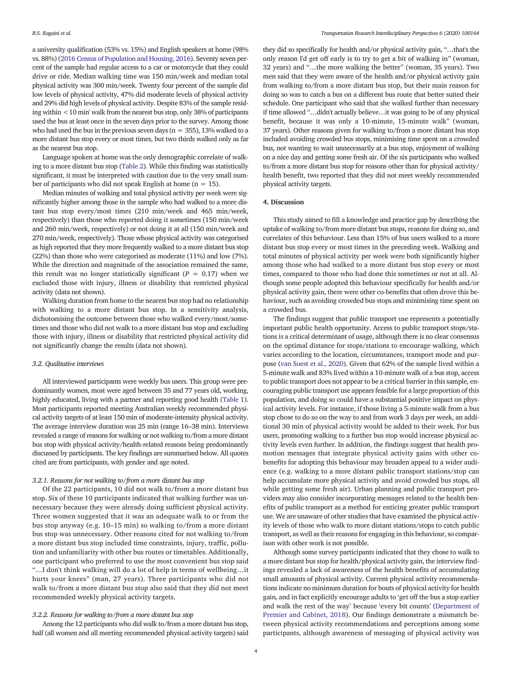a university qualification (53% vs. 15%) and English speakers at home (98% vs. 88%) [\(2016 Census of Population and Housing, 2016\)](#page-5-0). Seventy seven percent of the sample had regular access to a car or motorcycle that they could drive or ride. Median walking time was 150 min/week and median total physical activity was 300 min/week. Twenty four percent of the sample did low levels of physical activity, 47% did moderate levels of physical activity and 29% did high levels of physical activity. Despite 83% of the sample residing within <10 min' walk from the nearest bus stop, only 38% of participants used the bus at least once in the seven days prior to the survey. Among those who had used the bus in the previous seven days ( $n = 355$ ), 13% walked to a more distant bus stop every or most times, but two thirds walked only as far as the nearest bus stop.

Language spoken at home was the only demographic correlate of walking to a more distant bus stop ([Table 2\)](#page-4-0). While this finding was statistically significant, it must be interpreted with caution due to the very small number of participants who did not speak English at home ( $n = 15$ ).

Median minutes of walking and total physical activity per week were significantly higher among those in the sample who had walked to a more distant bus stop every/most times (210 min/week and 465 min/week, respectively) than those who reported doing it sometimes (150 min/week and 260 min/week, respectively) or not doing it at all (150 min/week and 270 min/week, respectively). Those whose physical activity was categorised as high reported that they more frequently walked to a more distant bus stop (22%) than those who were categorised as moderate (11%) and low (7%). While the direction and magnitude of the association remained the same, this result was no longer statistically significant ( $P = 0.17$ ) when we excluded those with injury, illness or disability that restricted physical activity (data not shown).

Walking duration from home to the nearest bus stop had no relationship with walking to a more distant bus stop. In a sensitivity analysis, dichotomising the outcome between those who walked every/most/sometimes and those who did not walk to a more distant bus stop and excluding those with injury, illness or disability that restricted physical activity did not significantly change the results (data not shown).

# 3.2. Qualitative interviews

All interviewed participants were weekly bus users. This group were predominantly women, most were aged between 35 and 77 years old, working, highly educated, living with a partner and reporting good health [\(Table 1](#page-2-0)). Most participants reported meeting Australian weekly recommended physical activity targets of at least 150 min of moderate-intensity physical activity. The average interview duration was 25 min (range 16–38 min). Interviews revealed a range of reasons for walking or not walking to/from a more distant bus stop with physical activity/health-related reasons being predominantly discussed by participants. The key findings are summarised below. All quotes cited are from participants, with gender and age noted.

#### 3.2.1. Reasons for not walking to/from a more distant bus stop

Of the 22 participants, 10 did not walk to/from a more distant bus stop. Six of these 10 participants indicated that walking further was unnecessary because they were already doing sufficient physical activity. Three women suggested that it was an adequate walk to or from the bus stop anyway (e.g. 10–15 min) so walking to/from a more distant bus stop was unnecessary. Other reasons cited for not walking to/from a more distant bus stop included time constraints, injury, traffic, pollution and unfamiliarity with other bus routes or timetables. Additionally, one participant who preferred to use the most convenient bus stop said "…I don't think walking will do a lot of help in terms of wellbeing…it hurts your knees" (man, 27 years). Three participants who did not walk to/from a more distant bus stop also said that they did not meet recommended weekly physical activity targets.

# 3.2.2. Reasons for walking to/from a more distant bus stop

Among the 12 participants who did walk to/from a more distant bus stop, half (all women and all meeting recommended physical activity targets) said they did so specifically for health and/or physical activity gain, "…that's the only reason I'd get off early is to try to get a bit of walking in" (woman, 32 years) and "…the more walking the better" (woman, 35 years). Two men said that they were aware of the health and/or physical activity gain from walking to/from a more distant bus stop, but their main reason for doing so was to catch a bus on a different bus route that better suited their schedule. One participant who said that she walked further than necessary if time allowed "…didn't actually believe…it was going to be of any physical benefit, because it was only a 10-minute, 15-minute walk" (woman, 37 years). Other reasons given for walking to/from a more distant bus stop included avoiding crowded bus stops, minimising time spent on a crowded bus, not wanting to wait unnecessarily at a bus stop, enjoyment of walking on a nice day and getting some fresh air. Of the six participants who walked to/from a more distant bus stop for reasons other than for physical activity/ health benefit, two reported that they did not meet weekly recommended physical activity targets.

# 4. Discussion

This study aimed to fill a knowledge and practice gap by describing the uptake of walking to/from more distant bus stops, reasons for doing so, and correlates of this behaviour. Less than 15% of bus users walked to a more distant bus stop every or most times in the preceding week. Walking and total minutes of physical activity per week were both significantly higher among those who had walked to a more distant bus stop every or most times, compared to those who had done this sometimes or not at all. Although some people adopted this behaviour specifically for health and/or physical activity gain, there were other co-benefits that often drove this behaviour, such as avoiding crowded bus stops and minimising time spent on a crowded bus.

The findings suggest that public transport use represents a potentially important public health opportunity. Access to public transport stops/stations is a critical determinant of usage, although there is no clear consensus on the optimal distance for stops/stations to encourage walking, which varies according to the location, circumstances, transport mode and purpose ([van Soest et al., 2020\)](#page-6-0). Given that 62% of the sample lived within a 5-minute walk and 83% lived within a 10-minute walk of a bus stop, access to public transport does not appear to be a critical barrier in this sample, encouraging public transport use appears feasible for a large proportion of this population, and doing so could have a substantial positive impact on physical activity levels. For instance, if those living a 5-minute walk from a bus stop chose to do so on the way to and from work 3 days per week, an additional 30 min of physical activity would be added to their week. For bus users, promoting walking to a further bus stop would increase physical activity levels even further. In addition, the findings suggest that health promotion messages that integrate physical activity gains with other cobenefits for adopting this behaviour may broaden appeal to a wider audience (e.g. walking to a more distant public transport stations/stop can help accumulate more physical activity and avoid crowded bus stops, all while getting some fresh air). Urban planning and public transport providers may also consider incorporating messages related to the health benefits of public transport as a method for enticing greater public transport use. We are unaware of other studies that have examined the physical activity levels of those who walk to more distant stations/stops to catch public transport, as well as their reasons for engaging in this behaviour, so comparison with other work is not possible.

Although some survey participants indicated that they chose to walk to a more distant bus stop for health/physical activity gain, the interview findings revealed a lack of awareness of the health benefits of accumulating small amounts of physical activity. Current physical activity recommendations indicate no minimum duration for bouts of physical activity for health gain, and in fact explicitly encourage adults to 'get off the bus a stop earlier and walk the rest of the way' because 'every bit counts' ([Department of](#page-5-0) [Premier and Cabinet, 2018](#page-5-0)). Our findings demonstrate a mismatch between physical activity recommendations and perceptions among some participants, although awareness of messaging of physical activity was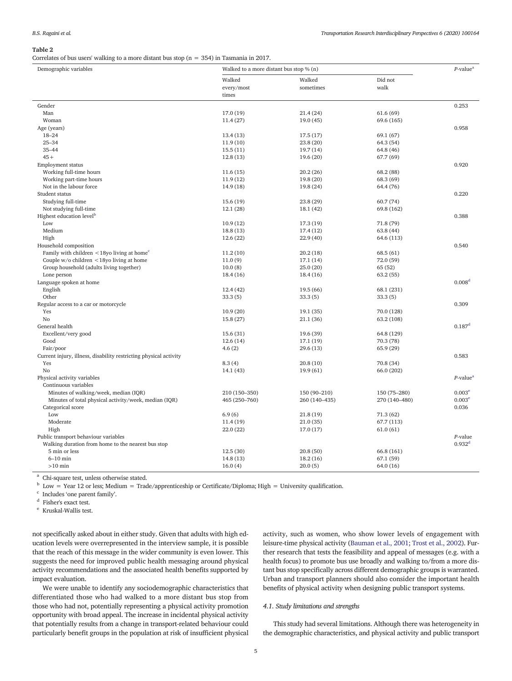#### <span id="page-4-0"></span>Table 2

Correlates of bus users' walking to a more distant bus stop ( $n = 354$ ) in Tasmania in 2017.

| Demographic variables                                             | Walked to a more distant bus stop $\%$ (n) |               |               | $P$ -value <sup>a</sup>          |
|-------------------------------------------------------------------|--------------------------------------------|---------------|---------------|----------------------------------|
|                                                                   | Walked                                     | Walked        | Did not       |                                  |
|                                                                   | every/most                                 | sometimes     | walk          |                                  |
|                                                                   | times                                      |               |               |                                  |
| Gender                                                            |                                            |               |               | 0.253                            |
| Man                                                               | 17.0(19)                                   | 21.4(24)      | 61.6(69)      |                                  |
| Woman                                                             | 11.4(27)                                   | 19.0(45)      | 69.6 (165)    |                                  |
| Age (years)                                                       |                                            |               |               | 0.958                            |
| $18 - 24$                                                         | 13.4(13)                                   | 17.5(17)      | 69.1 (67)     |                                  |
| $25 - 34$                                                         | 11.9(10)                                   | 23.8(20)      | 64.3 (54)     |                                  |
| $35 - 44$                                                         | 15.5(11)                                   | 19.7(14)      | 64.8 (46)     |                                  |
| $45 +$                                                            | 12.8(13)                                   | 19.6 (20)     | 67.7 (69)     |                                  |
| Employment status                                                 |                                            |               |               | 0.920                            |
| Working full-time hours                                           | 11.6(15)                                   | 20.2(26)      | 68.2 (88)     |                                  |
| Working part-time hours                                           | 11.9(12)                                   | 19.8 (20)     | 68.3 (69)     |                                  |
| Not in the labour force                                           | 14.9 (18)                                  | 19.8(24)      | 64.4 (76)     |                                  |
| Student status                                                    |                                            |               |               | 0.220                            |
| Studying full-time                                                | 15.6(19)                                   | 23.8(29)      | 60.7(74)      |                                  |
| Not studying full-time                                            | 12.1(28)                                   | 18.1(42)      | 69.8 (162)    |                                  |
| Highest education level <sup>b</sup>                              |                                            |               |               | 0.388                            |
| Low                                                               | 10.9(12)                                   | 17.3(19)      | 71.8 (79)     |                                  |
| Medium                                                            | 18.8(13)                                   | 17.4(12)      | 63.8 (44)     |                                  |
| High                                                              | 12.6(22)                                   | 22.9(40)      | 64.6 (113)    |                                  |
| Household composition                                             |                                            |               |               | 0.540                            |
| Family with children $\leq$ 18yo living at home <sup>c</sup>      | 11.2(10)                                   | 20.2(18)      | 68.5(61)      |                                  |
| Couple $w/o$ children $\leq$ 18yo living at home                  | 11.0(9)                                    | 17.1(14)      | 72.0(59)      |                                  |
| Group household (adults living together)                          | 10.0(8)                                    | 25.0(20)      | 65 (52)       |                                  |
| Lone person                                                       | 18.4(16)                                   | 18.4(16)      | 63.2(55)      |                                  |
| Language spoken at home                                           |                                            |               |               | 0.008 <sup>d</sup>               |
| English                                                           | 12.4(42)                                   | 19.5 (66)     | 68.1 (231)    |                                  |
| Other                                                             | 33.3(5)                                    | 33.3(5)       | 33.3(5)       |                                  |
| Regular access to a car or motorcycle                             |                                            |               |               | 0.309                            |
| Yes                                                               | 10.9(20)                                   | 19.1 (35)     | 70.0 (128)    |                                  |
| No                                                                | 15.8(27)                                   | 21.1(36)      | 63.2 (108)    |                                  |
| General health                                                    |                                            |               |               | $0.187$ <sup>d</sup>             |
| Excellent/very good                                               | 15.6(31)                                   | 19.6 (39)     | 64.8 (129)    |                                  |
| Good                                                              | 12.6(14)                                   | 17.1(19)      | 70.3 (78)     |                                  |
| Fair/poor                                                         | 4.6(2)                                     | 29.6(13)      | 65.9(29)      |                                  |
| Current injury, illness, disability restricting physical activity |                                            |               |               | 0.583                            |
| Yes                                                               | 8.3(4)                                     | 20.8(10)      | 70.8 (34)     |                                  |
| No                                                                | 14.1 (43)                                  | 19.9(61)      | 66.0 (202)    |                                  |
| Physical activity variables                                       |                                            |               |               | $P$ -value <sup>a</sup>          |
| Continuous variables                                              |                                            |               |               |                                  |
| Minutes of walking/week, median (IQR)                             | 210 (150-350)                              | 150 (90-210)  | 150 (75-280)  | 0.003 <sup>e</sup>               |
| Minutes of total physical activity/week, median (IQR)             | 465 (250-760)                              | 260 (140-435) | 270 (140-480) | 0.003 <sup>e</sup>               |
| Categorical score                                                 |                                            |               |               | 0.036                            |
| Low                                                               | 6.9(6)                                     | 21.8(19)      | 71.3(62)      |                                  |
| Moderate                                                          | 11.4(19)                                   | 21.0(35)      | 67.7 (113)    |                                  |
| High                                                              | 22.0(22)                                   | 17.0 (17)     | 61.0(61)      |                                  |
| Public transport behaviour variables                              |                                            |               |               | $P$ -value<br>0.932 <sup>d</sup> |
| Walking duration from home to the nearest bus stop                |                                            |               |               |                                  |
| 5 min or less<br>$6-10$ min                                       | 12.5(30)                                   | 20.8(50)      | 66.8 (161)    |                                  |
|                                                                   | 14.8(13)                                   | 18.2(16)      | 67.1 (59)     |                                  |
| $>10$ min                                                         | 16.0(4)                                    | 20.0(5)       | 64.0 (16)     |                                  |

<sup>a</sup> Chi-square test, unless otherwise stated.

 $b$  Low = Year 12 or less; Medium = Trade/apprenticeship or Certificate/Diploma; High = University qualification.

 $\,^{\rm c}$  Includes 'one parent family'.

<sup>d</sup> Fisher's exact test.

<sup>e</sup> Kruskal-Wallis test.

not specifically asked about in either study. Given that adults with high education levels were overrepresented in the interview sample, it is possible that the reach of this message in the wider community is even lower. This suggests the need for improved public health messaging around physical activity recommendations and the associated health benefits supported by impact evaluation.

We were unable to identify any sociodemographic characteristics that differentiated those who had walked to a more distant bus stop from those who had not, potentially representing a physical activity promotion opportunity with broad appeal. The increase in incidental physical activity that potentially results from a change in transport-related behaviour could particularly benefit groups in the population at risk of insufficient physical

activity, such as women, who show lower levels of engagement with leisure-time physical activity [\(Bauman et al., 2001;](#page-5-0) [Trost et al., 2002\)](#page-6-0). Further research that tests the feasibility and appeal of messages (e.g. with a health focus) to promote bus use broadly and walking to/from a more distant bus stop specifically across different demographic groups is warranted. Urban and transport planners should also consider the important health benefits of physical activity when designing public transport systems.

# 4.1. Study limitations and strengths

This study had several limitations. Although there was heterogeneity in the demographic characteristics, and physical activity and public transport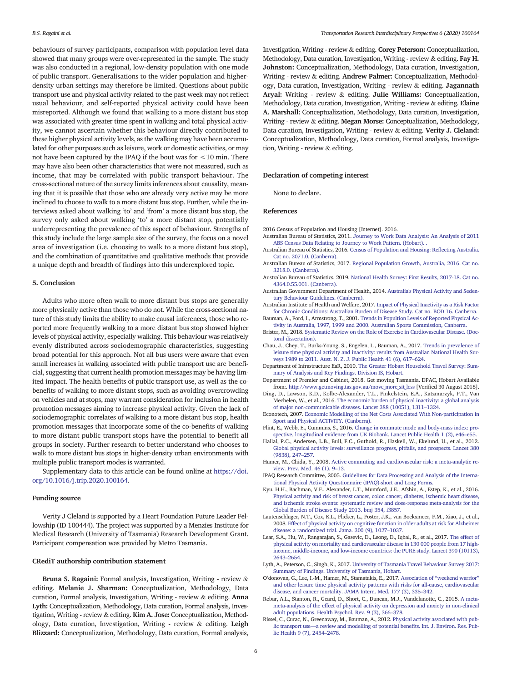<span id="page-5-0"></span>behaviours of survey participants, comparison with population level data showed that many groups were over-represented in the sample. The study was also conducted in a regional, low-density population with one mode of public transport. Generalisations to the wider population and higherdensity urban settings may therefore be limited. Questions about public transport use and physical activity related to the past week may not reflect usual behaviour, and self-reported physical activity could have been misreported. Although we found that walking to a more distant bus stop was associated with greater time spent in walking and total physical activity, we cannot ascertain whether this behaviour directly contributed to these higher physical activity levels, as the walking may have been accumulated for other purposes such as leisure, work or domestic activities, or may not have been captured by the IPAQ if the bout was for <10 min. There may have also been other characteristics that were not measured, such as income, that may be correlated with public transport behaviour. The cross-sectional nature of the survey limits inferences about causality, meaning that it is possible that those who are already very active may be more inclined to choose to walk to a more distant bus stop. Further, while the interviews asked about walking 'to' and 'from' a more distant bus stop, the survey only asked about walking 'to' a more distant stop, potentially underrepresenting the prevalence of this aspect of behaviour. Strengths of this study include the large sample size of the survey, the focus on a novel area of investigation (i.e. choosing to walk to a more distant bus stop), and the combination of quantitative and qualitative methods that provide a unique depth and breadth of findings into this underexplored topic.

### 5. Conclusion

Adults who more often walk to more distant bus stops are generally more physically active than those who do not. While the cross-sectional nature of this study limits the ability to make causal inferences, those who reported more frequently walking to a more distant bus stop showed higher levels of physical activity, especially walking. This behaviour was relatively evenly distributed across sociodemographic characteristics, suggesting broad potential for this approach. Not all bus users were aware that even small increases in walking associated with public transport use are beneficial, suggesting that current health promotion messages may be having limited impact. The health benefits of public transport use, as well as the cobenefits of walking to more distant stops, such as avoiding overcrowding on vehicles and at stops, may warrant consideration for inclusion in health promotion messages aiming to increase physical activity. Given the lack of sociodemographic correlates of walking to a more distant bus stop, health promotion messages that incorporate some of the co-benefits of walking to more distant public transport stops have the potential to benefit all groups in society. Further research to better understand who chooses to walk to more distant bus stops in higher-density urban environments with multiple public transport modes is warranted.

Supplementary data to this article can be found online at [https://doi.](https://doi.org/10.1016/j.trip.2020.100164) [org/10.1016/j.trip.2020.100164.](https://doi.org/10.1016/j.trip.2020.100164)

#### Funding source

Verity J Cleland is supported by a Heart Foundation Future Leader Fellowship (ID 100444). The project was supported by a Menzies Institute for Medical Research (University of Tasmania) Research Development Grant. Participant compensation was provided by Metro Tasmania.

# CRediT authorship contribution statement

Bruna S. Ragaini: Formal analysis, Investigation, Writing - review & editing. Melanie J. Sharman: Conceptualization, Methodology, Data curation, Formal analysis, Investigation, Writing - review & editing. Anna Lyth: Conceptualization, Methodology, Data curation, Formal analysis, Investigation, Writing - review & editing. Kim A. Jose: Conceptualization, Methodology, Data curation, Investigation, Writing - review & editing. Leigh Blizzard: Conceptualization, Methodology, Data curation, Formal analysis,

Investigation, Writing - review & editing. Corey Peterson: Conceptualization, Methodology, Data curation, Investigation, Writing - review & editing. Fay H. Johnston: Conceptualization, Methodology, Data curation, Investigation, Writing - review & editing. Andrew Palmer: Conceptualization, Methodology, Data curation, Investigation, Writing - review & editing. Jagannath Aryal: Writing - review & editing. Julie Williams: Conceptualization, Methodology, Data curation, Investigation, Writing - review & editing. Elaine A. Marshall: Conceptualization, Methodology, Data curation, Investigation, Writing - review & editing. Megan Morse: Conceptualization, Methodology, Data curation, Investigation, Writing - review & editing. Verity J. Cleland: Conceptualization, Methodology, Data curation, Formal analysis, Investigation, Writing - review & editing.

# Declaration of competing interest

None to declare.

# References

- 2016 Census of Population and Housing [Internet]. 2016.
- Australian Bureau of Statistics, 2011. [Journey to Work Data Analysis: An Analysis of 2011](http://refhub.elsevier.com/S2590-1982(20)30075-0/rf0005) [ABS Census Data Relating to Journey to Work Pattern. \(Hobart\). .](http://refhub.elsevier.com/S2590-1982(20)30075-0/rf0005)
- Australian Bureau of Statistics, 2016. [Census of Population and Housing: Re](http://refhub.elsevier.com/S2590-1982(20)30075-0/rf0010)flecting Australia. [Cat no. 2071.0. \(Canberra\)](http://refhub.elsevier.com/S2590-1982(20)30075-0/rf0010).
- Australian Bureau of Statistics, 2017. [Regional Population Growth, Australia, 2016. Cat no.](http://refhub.elsevier.com/S2590-1982(20)30075-0/rf0015) [3218.0. \(Canberra\).](http://refhub.elsevier.com/S2590-1982(20)30075-0/rf0015)
- Australian Bureau of Statistics, 2019. [National Health Survey: First Results, 2017-18. Cat no.](http://refhub.elsevier.com/S2590-1982(20)30075-0/rf0020) [4364.0.55.001. \(Canberra\).](http://refhub.elsevier.com/S2590-1982(20)30075-0/rf0020)
- Australian Government Department of Health, 2014. [Australia's Physical Activity and Seden](http://refhub.elsevier.com/S2590-1982(20)30075-0/rf0025)[tary Behaviour Guidelines. \(Canberra\).](http://refhub.elsevier.com/S2590-1982(20)30075-0/rf0025)

Australian Institute of Health and Welfare, 2017. [Impact of Physical Inactivity as a Risk Factor](http://refhub.elsevier.com/S2590-1982(20)30075-0/rf0030) [for Chronic Conditions: Australian Burden of Disease Study. Cat no. BOD 16. Canberra](http://refhub.elsevier.com/S2590-1982(20)30075-0/rf0030).

- Bauman, A., Ford, I., Armstrong, T., 2001. [Trends in Popultion Levels of Reported Physical Ac](http://refhub.elsevier.com/S2590-1982(20)30075-0/rf0035)[tivity in Australia, 1997, 1999 and 2000. Australian Sports Commission, Canberra.](http://refhub.elsevier.com/S2590-1982(20)30075-0/rf0035)
- Brister, M., 2018. [Systematic Review on the Role of Exercise in Cardiovascular Disease. \(Doc](http://refhub.elsevier.com/S2590-1982(20)30075-0/rf0040)[toral dissertation\)](http://refhub.elsevier.com/S2590-1982(20)30075-0/rf0040).
- Chau, J., Chey, T., Burks-Young, S., Engelen, L., Bauman, A., 2017. [Trends in prevalence of](http://refhub.elsevier.com/S2590-1982(20)30075-0/rf0045) [leisure time physical activity and inactivity: results from Australian National Health Sur](http://refhub.elsevier.com/S2590-1982(20)30075-0/rf0045)[veys 1989 to 2011. Aust. N. Z. J. Public Health 41 \(6\), 617](http://refhub.elsevier.com/S2590-1982(20)30075-0/rf0045)–624.
- Department of Infrastructure EaR, 2010. [The Greater Hobart Household Travel Survey: Sum](http://refhub.elsevier.com/S2590-1982(20)30075-0/rf0050)[mary of Analysis and Key Findings. Division IS, Hobart](http://refhub.elsevier.com/S2590-1982(20)30075-0/rf0050).
- Department of Premier and Cabinet, 2018. Get moving Tasmania. DPAC, Hobart Available from:. [http://www.getmoving.tas.gov.au/move\\_more\\_sit\\_less](http://www.getmoving.tas.gov.au/move_more_sit_less) [Verified 30 August 2018].
- Ding, D., Lawson, K.D., Kolbe-Alexander, T.L., Finkelstein, E.A., Katzmarzyk, P.T., Van Mechelen, W., et al., 2016. [The economic burden of physical inactivity: a global analysis](http://refhub.elsevier.com/S2590-1982(20)30075-0/rf0060) [of major non-communicable diseases. Lancet 388 \(10051\), 1311](http://refhub.elsevier.com/S2590-1982(20)30075-0/rf0060)–1324.
- Econotech, 2007. [Economic Modelling of the Net Costs Associated With Non-participation in](http://refhub.elsevier.com/S2590-1982(20)30075-0/rf0065) [Sport and Physical ACTIVITY. \(Canberra\).](http://refhub.elsevier.com/S2590-1982(20)30075-0/rf0065)
- Flint, E., Webb, E., Cummins, S., 2016. [Change in commute mode and body-mass index: pro](http://refhub.elsevier.com/S2590-1982(20)30075-0/rf0070)[spective, longitudinal evidence from UK Biobank. Lancet Public Health 1 \(2\), e46](http://refhub.elsevier.com/S2590-1982(20)30075-0/rf0070)–e55.
- Hallal, P.C., Andersen, L.B., Bull, F.C., Guthold, R., Haskell, W., Ekelund, U., et al., 2012. [Global physical activity levels: surveillance progress, pitfalls, and prospects. Lancet 380](http://refhub.elsevier.com/S2590-1982(20)30075-0/rf0075) [\(9838\), 247](http://refhub.elsevier.com/S2590-1982(20)30075-0/rf0075)–257.
- Hamer, M., Chida, Y., 2008. [Active commuting and cardiovascular risk: a meta-analytic re](http://refhub.elsevier.com/S2590-1982(20)30075-0/rf0080)[view. Prev. Med. 46 \(1\), 9](http://refhub.elsevier.com/S2590-1982(20)30075-0/rf0080)–13.
- IPAQ Research Committee, 2005. [Guidelines for Data Processing and Analysis of the Interna](http://refhub.elsevier.com/S2590-1982(20)30075-0/rf0085)[tional Physical Activity Questionnaire \(IPAQ\)-short and Long Forms.](http://refhub.elsevier.com/S2590-1982(20)30075-0/rf0085)
- Kyu, H.H., Bachman, V.F., Alexander, L.T., Mumford, J.E., Afshin, A., Estep, K., et al., 2016. [Physical activity and risk of breast cancer, colon cancer, diabetes, ischemic heart disease,](http://refhub.elsevier.com/S2590-1982(20)30075-0/rf0090) [and ischemic stroke events: systematic review and dose-response meta-analysis for the](http://refhub.elsevier.com/S2590-1982(20)30075-0/rf0090) [Global Burden of Disease Study 2013. bmj 354, i3857](http://refhub.elsevier.com/S2590-1982(20)30075-0/rf0090).
- Lautenschlager, N.T., Cox, K.L., Flicker, L., Foster, J.K., van Bockxmeer, F.M., Xiao, J., et al., 2008. [Effect of physical activity on cognitive function in older adults at risk for Alzheimer](http://refhub.elsevier.com/S2590-1982(20)30075-0/rf0095) [disease: a randomized trial. Jama. 300 \(9\), 1027](http://refhub.elsevier.com/S2590-1982(20)30075-0/rf0095)–1037.
- Lear, S.A., Hu, W., Rangarajan, S., Gasevic, D., Leong, D., Iqbal, R., et al., 2017. [The effect of](http://refhub.elsevier.com/S2590-1982(20)30075-0/rf0100) [physical activity on mortality and cardiovascular disease in 130 000 people from 17 high](http://refhub.elsevier.com/S2590-1982(20)30075-0/rf0100)[income, middle-income, and low-income countries: the PURE study. Lancet 390 \(10113\),](http://refhub.elsevier.com/S2590-1982(20)30075-0/rf0100) [2643](http://refhub.elsevier.com/S2590-1982(20)30075-0/rf0100)–2654.
- Lyth, A., Peterson, C., Singh, K., 2017. [University of Tasmania Travel Behaviour Survey 2017:](http://refhub.elsevier.com/S2590-1982(20)30075-0/rf0105) [Summary of Findings. University of Tasmania, Hobart](http://refhub.elsevier.com/S2590-1982(20)30075-0/rf0105).
- O'donovan, G., Lee, I.-M., Hamer, M., Stamatakis, E., 2017. Association of "[weekend warrior](http://refhub.elsevier.com/S2590-1982(20)30075-0/rf0110)" [and other leisure time physical activity patterns with risks for all-cause, cardiovascular](http://refhub.elsevier.com/S2590-1982(20)30075-0/rf0110) [disease, and cancer mortality. JAMA Intern. Med. 177 \(3\), 335](http://refhub.elsevier.com/S2590-1982(20)30075-0/rf0110)–342.
- Rebar, A.L., Stanton, R., Geard, D., Short, C., Duncan, M.J., Vandelanotte, C., 2015. [A meta](http://refhub.elsevier.com/S2590-1982(20)30075-0/rf0115)[meta-analysis of the effect of physical activity on depression and anxiety in non-clinical](http://refhub.elsevier.com/S2590-1982(20)30075-0/rf0115) [adult populations. Health Psychol. Rev. 9 \(3\), 366](http://refhub.elsevier.com/S2590-1982(20)30075-0/rf0115)–378.
- Rissel, C., Curac, N., Greenaway, M., Bauman, A., 2012. [Physical activity associated with pub](http://refhub.elsevier.com/S2590-1982(20)30075-0/rf0120)lic transport use—[a review and modelling of potential bene](http://refhub.elsevier.com/S2590-1982(20)30075-0/rf0120)fits. Int. J. Environ. Res. Pub[lic Health 9 \(7\), 2454](http://refhub.elsevier.com/S2590-1982(20)30075-0/rf0120)–2478.